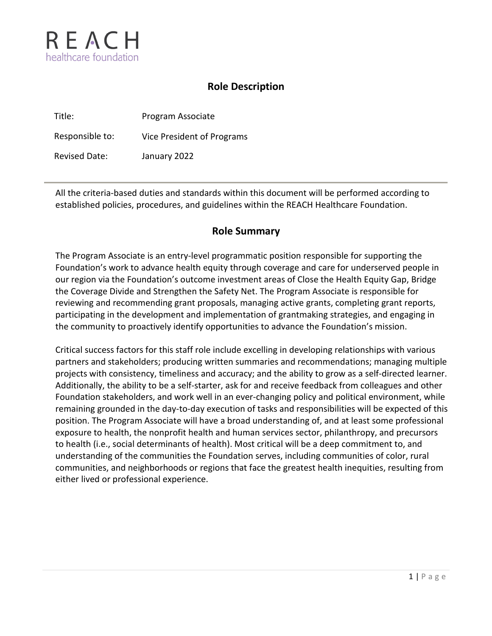

# **Role Description**

| Title:               | Program Associate          |
|----------------------|----------------------------|
| Responsible to:      | Vice President of Programs |
| <b>Revised Date:</b> | January 2022               |

All the criteria-based duties and standards within this document will be performed according to established policies, procedures, and guidelines within the REACH Healthcare Foundation.

# **Role Summary**

The Program Associate is an entry-level programmatic position responsible for supporting the Foundation's work to advance health equity through coverage and care for underserved people in our region via the Foundation's outcome investment areas of Close the Health Equity Gap, Bridge the Coverage Divide and Strengthen the Safety Net. The Program Associate is responsible for reviewing and recommending grant proposals, managing active grants, completing grant reports, participating in the development and implementation of grantmaking strategies, and engaging in the community to proactively identify opportunities to advance the Foundation's mission.

Critical success factors for this staff role include excelling in developing relationships with various partners and stakeholders; producing written summaries and recommendations; managing multiple projects with consistency, timeliness and accuracy; and the ability to grow as a self-directed learner. Additionally, the ability to be a self-starter, ask for and receive feedback from colleagues and other Foundation stakeholders, and work well in an ever-changing policy and political environment, while remaining grounded in the day-to-day execution of tasks and responsibilities will be expected of this position. The Program Associate will have a broad understanding of, and at least some professional exposure to health, the nonprofit health and human services sector, philanthropy, and precursors to health (i.e., social determinants of health). Most critical will be a deep commitment to, and understanding of the communities the Foundation serves, including communities of color, rural communities, and neighborhoods or regions that face the greatest health inequities, resulting from either lived or professional experience.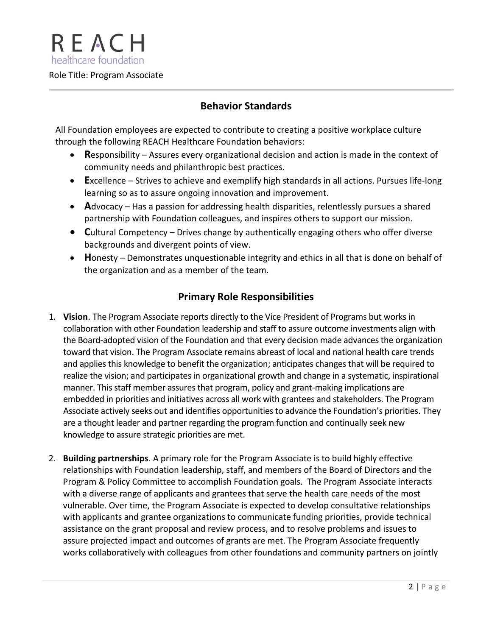REACH healthcare foundation Role Title: Program Associate

### **Behavior Standards**

All Foundation employees are expected to contribute to creating a positive workplace culture through the following REACH Healthcare Foundation behaviors:

- **R**esponsibility Assures every organizational decision and action is made in the context of community needs and philanthropic best practices.
- **E**xcellence Strives to achieve and exemplify high standards in all actions. Pursues life-long learning so as to assure ongoing innovation and improvement.
- **A**dvocacy Has a passion for addressing health disparities, relentlessly pursues a shared partnership with Foundation colleagues, and inspires others to support our mission.
- **C**ultural Competency Drives change by authentically engaging others who offer diverse backgrounds and divergent points of view.
- **H**onesty Demonstrates unquestionable integrity and ethics in all that is done on behalf of the organization and as a member of the team.

# **Primary Role Responsibilities**

- 1. **Vision**. The Program Associate reports directly to the Vice President of Programs but works in collaboration with other Foundation leadership and staff to assure outcome investments align with the Board-adopted vision of the Foundation and that every decision made advances the organization toward that vision. The Program Associate remains abreast of local and national health care trends and applies this knowledge to benefit the organization; anticipates changes that will be required to realize the vision; and participates in organizational growth and change in a systematic, inspirational manner. This staff member assures that program, policy and grant-making implications are embedded in priorities and initiatives across all work with grantees and stakeholders. The Program Associate actively seeks out and identifies opportunities to advance the Foundation's priorities. They are a thought leader and partner regarding the program function and continually seek new knowledge to assure strategic priorities are met.
- 2. **Building partnerships**. A primary role for the Program Associate is to build highly effective relationships with Foundation leadership, staff, and members of the Board of Directors and the Program & Policy Committee to accomplish Foundation goals. The Program Associate interacts with a diverse range of applicants and grantees that serve the health care needs of the most vulnerable. Over time, the Program Associate is expected to develop consultative relationships with applicants and grantee organizations to communicate funding priorities, provide technical assistance on the grant proposal and review process, and to resolve problems and issues to assure projected impact and outcomes of grants are met. The Program Associate frequently works collaboratively with colleagues from other foundations and community partners on jointly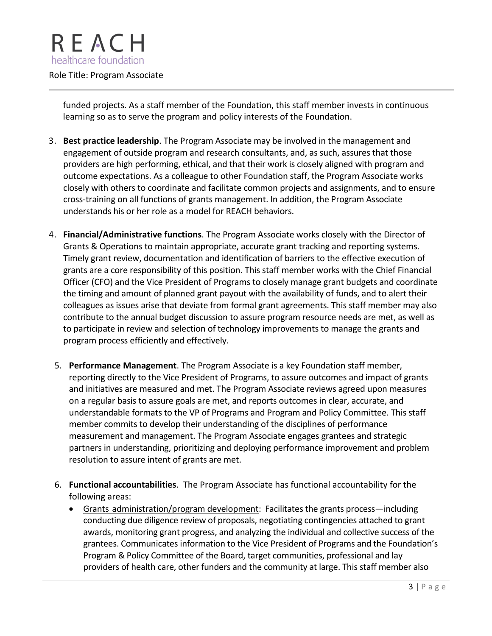

funded projects. As a staff member of the Foundation, this staff member invests in continuous learning so as to serve the program and policy interests of the Foundation.

- 3. **Best practice leadership**. The Program Associate may be involved in the management and engagement of outside program and research consultants, and, as such, assures that those providers are high performing, ethical, and that their work is closely aligned with program and outcome expectations. As a colleague to other Foundation staff, the Program Associate works closely with others to coordinate and facilitate common projects and assignments, and to ensure cross-training on all functions of grants management. In addition, the Program Associate understands his or her role as a model for REACH behaviors.
- 4. **Financial/Administrative functions**. The Program Associate works closely with the Director of Grants & Operations to maintain appropriate, accurate grant tracking and reporting systems. Timely grant review, documentation and identification of barriers to the effective execution of grants are a core responsibility of this position. This staff member works with the Chief Financial Officer (CFO) and the Vice President of Programs to closely manage grant budgets and coordinate the timing and amount of planned grant payout with the availability of funds, and to alert their colleagues as issues arise that deviate from formal grant agreements. This staff member may also contribute to the annual budget discussion to assure program resource needs are met, as well as to participate in review and selection of technology improvements to manage the grants and program process efficiently and effectively.
	- 5. **Performance Management**. The Program Associate is a key Foundation staff member, reporting directly to the Vice President of Programs, to assure outcomes and impact of grants and initiatives are measured and met. The Program Associate reviews agreed upon measures on a regular basis to assure goals are met, and reports outcomes in clear, accurate, and understandable formats to the VP of Programs and Program and Policy Committee. This staff member commits to develop their understanding of the disciplines of performance measurement and management. The Program Associate engages grantees and strategic partners in understanding, prioritizing and deploying performance improvement and problem resolution to assure intent of grants are met.
	- 6. **Functional accountabilities**. The Program Associate has functional accountability for the following areas:
		- Grants administration/program development: Facilitates the grants process—including conducting due diligence review of proposals, negotiating contingencies attached to grant awards, monitoring grant progress, and analyzing the individual and collective success of the grantees. Communicates information to the Vice President of Programs and the Foundation's Program & Policy Committee of the Board, target communities, professional and lay providers of health care, other funders and the community at large. This staff member also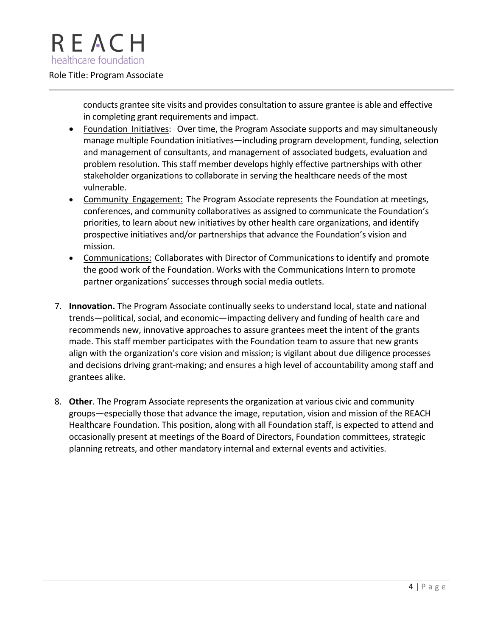### Role Title: Program Associate

conducts grantee site visits and provides consultation to assure grantee is able and effective in completing grant requirements and impact.

- Foundation Initiatives: Over time, the Program Associate supports and may simultaneously manage multiple Foundation initiatives—including program development, funding, selection and management of consultants, and management of associated budgets, evaluation and problem resolution. This staff member develops highly effective partnerships with other stakeholder organizations to collaborate in serving the healthcare needs of the most vulnerable.
- Community Engagement: The Program Associate represents the Foundation at meetings, conferences, and community collaboratives as assigned to communicate the Foundation's priorities, to learn about new initiatives by other health care organizations, and identify prospective initiatives and/or partnerships that advance the Foundation's vision and mission.
- Communications: Collaborates with Director of Communications to identify and promote the good work of the Foundation. Works with the Communications Intern to promote partner organizations' successes through social media outlets.
- 7. **Innovation.** The Program Associate continually seeks to understand local, state and national trends—political, social, and economic—impacting delivery and funding of health care and recommends new, innovative approaches to assure grantees meet the intent of the grants made. This staff member participates with the Foundation team to assure that new grants align with the organization's core vision and mission; is vigilant about due diligence processes and decisions driving grant-making; and ensures a high level of accountability among staff and grantees alike.
- 8. **Other**. The Program Associate represents the organization at various civic and community groups—especially those that advance the image, reputation, vision and mission of the REACH Healthcare Foundation. This position, along with all Foundation staff, is expected to attend and occasionally present at meetings of the Board of Directors, Foundation committees, strategic planning retreats, and other mandatory internal and external events and activities.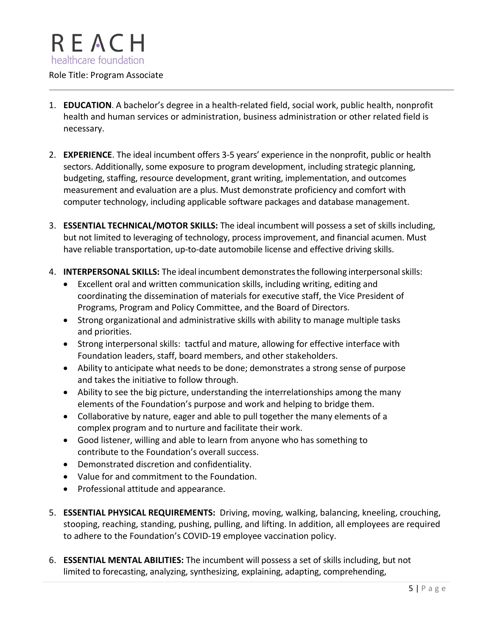

### Role Title: Program Associate

- 1. **EDUCATION**. A bachelor's degree in a health-related field, social work, public health, nonprofit health and human services or administration, business administration or other related field is necessary.
- 2. **EXPERIENCE**. The ideal incumbent offers 3-5 years' experience in the nonprofit, public or health sectors. Additionally, some exposure to program development, including strategic planning, budgeting, staffing, resource development, grant writing, implementation, and outcomes measurement and evaluation are a plus. Must demonstrate proficiency and comfort with computer technology, including applicable software packages and database management.
- 3. **ESSENTIAL TECHNICAL/MOTOR SKILLS:** The ideal incumbent will possess a set of skills including, but not limited to leveraging of technology, process improvement, and financial acumen. Must have reliable transportation, up-to-date automobile license and effective driving skills.
- 4. **INTERPERSONAL SKILLS:** The ideal incumbent demonstratesthe following interpersonalskills:
	- Excellent oral and written communication skills, including writing, editing and coordinating the dissemination of materials for executive staff, the Vice President of Programs, Program and Policy Committee, and the Board of Directors.
	- Strong organizational and administrative skills with ability to manage multiple tasks and priorities.
	- Strong interpersonal skills: tactful and mature, allowing for effective interface with Foundation leaders, staff, board members, and other stakeholders.
	- Ability to anticipate what needs to be done; demonstrates a strong sense of purpose and takes the initiative to follow through.
	- Ability to see the big picture, understanding the interrelationships among the many elements of the Foundation's purpose and work and helping to bridge them.
	- Collaborative by nature, eager and able to pull together the many elements of a complex program and to nurture and facilitate their work.
	- Good listener, willing and able to learn from anyone who has something to contribute to the Foundation's overall success.
	- Demonstrated discretion and confidentiality.
	- Value for and commitment to the Foundation.
	- Professional attitude and appearance.
- 5. **ESSENTIAL PHYSICAL REQUIREMENTS:** Driving, moving, walking, balancing, kneeling, crouching, stooping, reaching, standing, pushing, pulling, and lifting. In addition, all employees are required to adhere to the Foundation's COVID-19 employee vaccination policy.
- 6. **ESSENTIAL MENTAL ABILITIES:** The incumbent will possess a set of skills including, but not limited to forecasting, analyzing, synthesizing, explaining, adapting, comprehending,